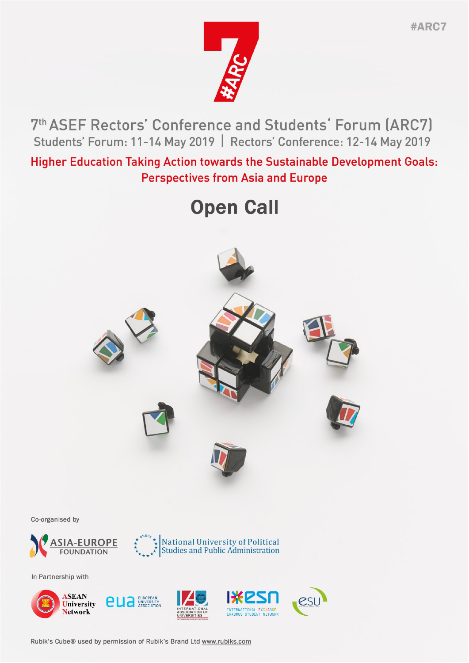

7th ASEF Rectors' Conference and Students' Forum (ARC7) Students' Forum: 11-14 May 2019 | Rectors' Conference: 12-14 May 2019

**Higher Education Taking Action towards the Sustainable Development Goals: Perspectives from Asia and Europe** 

# **Open Call**



Co-organised by





In Partnership with



Rubik's Cube® used by permission of Rubik's Brand Ltd www.rubiks.com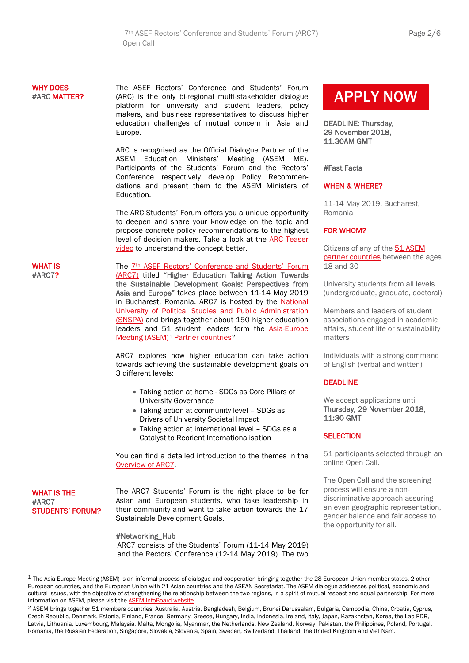# WHY DOES #ARC MATTER?

WHAT IS #ARC7?

The ASEF Rectors' Conference and Students' Forum (ARC) is the only bi-regional multi-stakeholder dialogue platform for university and student leaders, policy makers, and business representatives to discuss higher education challenges of mutual concern in Asia and Europe.

ARC is recognised as the Official Dialogue Partner of the ASEM Education Ministers' Meeting (ASEM ME). Participants of the Students' Forum and the Rectors' Conference respectively develop Policy Recommendations and present them to the ASEM Ministers of Education.

The ARC Students' Forum offers you a unique opportunity to deepen and share your knowledge on the topic and propose concrete policy recommendations to the highest level of decision makers. Take a look at the [ARC Teaser](https://www.youtube.com/watch?v=ZWJz05piQ5A)  [video](https://www.youtube.com/watch?v=ZWJz05piQ5A) to understand the concept better.

The 7<sup>th</sup> ASEF Rectors' Conference and Students' Forum [\(ARC7\)](http://asef.org/projects/themes/education/4512-7th-asef-rectors-conference-and-students-forum-arc7) titled "Higher Education Taking Action Towards the Sustainable Development Goals: Perspectives from Asia and Europe" takes place between 11-14 May 2019 in Bucharest, Romania. ARC7 is hosted by the National [University of Political Studies and Public Administration](http://snspa.ro/en/)  [\(SNSPA\)](http://snspa.ro/en/) and brings together about 150 higher education leaders and 51 student leaders form the [Asia-Europe](https://www.aseminfoboard.org/)  [Meeting \(ASEM\)](https://www.aseminfoboard.org/)<sup>[1](#page-1-0)</sup> [Partner countries](https://www.aseminfoboard.org/about/partners)<sup>2</sup>.

ARC7 explores how higher education can take action towards achieving the sustainable development goals on 3 different levels:

- Taking action at home SDGs as Core Pillars of University Governance
- Taking action at community level SDGs as Drivers of University Societal Impact
- Taking action at international level SDGs as a Catalyst to Reorient Internationalisation

You can find a detailed introduction to the themes in the [Overview of ARC7.](http://www.asef.org/images/docs/ARC7_SF_Overview.pdf)

WHAT IS THE #ARC7 STUDENTS' FORUM? The ARC7 Students' Forum is the right place to be for Asian and European students, who take leadership in their community and want to take action towards the 17 Sustainable Development Goals.

# #Networking\_Hub

ARC7 consists of the Students' Forum (11-14 May 2019) and the Rectors' Conference (12-14 May 2019). The two

# [APPLY NOW](https://asiaeuropefoundation.formstack.com/forms/arc7_sf)

DEADLINE: Thursday, 29 November 2018, 11.30AM GMT

#Fast Facts

L

# WHEN & WHERE?

11-14 May 2019, Bucharest, Romania

# FOR WHOM?

Citizens of any of the [51 ASEM](https://www.aseminfoboard.org/about/partners)  [partner countries](https://www.aseminfoboard.org/about/partners) between the ages 18 and 30

University students from all levels (undergraduate, graduate, doctoral)

Members and leaders of student associations engaged in academic affairs, student life or sustainability matters

Individuals with a strong command of English (verbal and written)

# DEADLINE

We accept applications until Thursday, 29 November 2018, 11:30 GMT

# **SELECTION**

51 participants selected through an online Open Call.

The Open Call and the screening process will ensure a nondiscriminative approach assuring an even geographic representation, gender balance and fair access to the opportunity for all.

<span id="page-1-0"></span> $1$  The Asia-Europe Meeting (ASEM) is an informal process of dialogue and cooperation bringing together the 28 European Union member states, 2 other European countries, and the European Union with 21 Asian countries and the ASEAN Secretariat. The ASEM dialogue addresses political, economic and cultural issues, with the objective of strengthening the relationship between the two regions, in a spirit of mutual respect and equal partnership. For more information on ASEM, please visit th[e ASEM InfoBoard website.](https://www.aseminfoboard.org/)

<span id="page-1-1"></span><sup>&</sup>lt;sup>2</sup> ASEM brings together 51 members countries: Australia, Austria, Bangladesh, Belgium, Brunei Darussalam, Bulgaria, Cambodia, China, Croatia, Cyprus, Czech Republic, Denmark, Estonia, Finland, France, Germany, Greece, Hungary, India, Indonesia, Ireland, Italy, Japan, Kazakhstan, Korea, the Lao PDR, Latvia, Lithuania, Luxembourg, Malaysia, Malta, Mongolia, Myanmar, the Netherlands, New Zealand, Norway, Pakistan, the Philippines, Poland, Portugal, Romania, the Russian Federation, Singapore, Slovakia, Slovenia, Spain, Sweden, Switzerland, Thailand, the United Kingdom and Viet Nam.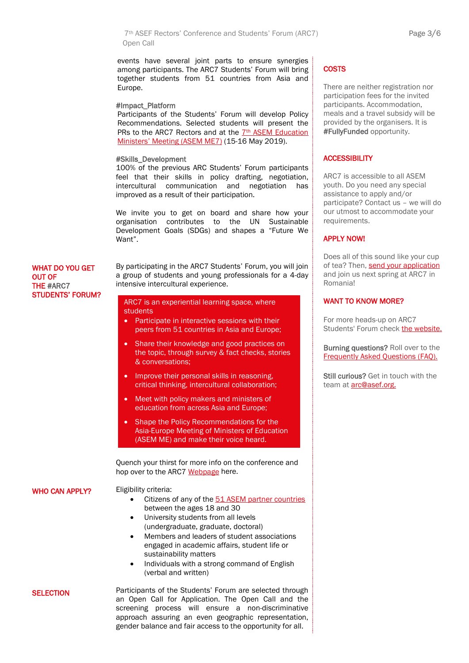7th ASEF Rectors' Conference and Students' Forum (ARC7) Page 3/6 Open Call

events have several joint parts to ensure synergies among participants. The ARC7 Students' Forum will bring together students from 51 countries from Asia and Europe.

#### #Impact\_Platform

Participants of the Students' Forum will develop Policy Recommendations. Selected students will present the PRs to the ARC7 Rectors and at the 7th ASEM Education [Ministers' Meeting \(ASEM ME7\)](https://www.aseminfoboard.org/events/7th-asem-education-ministers-meeting-asem-me7) (15-16 May 2019).

#### #Skills\_Development

100% of the previous ARC Students' Forum participants feel that their skills in policy drafting, negotiation, intercultural communication and negotiation has improved as a result of their participation.

We invite you to get on board and share how your organisation contributes to the UN Sustainable Development Goals (SDGs) and shapes a "Future We Want".

# WHAT DO YOU GET OUT OF THE #ARC7 STUDENTS' FORUM?

By participating in the ARC7 Students' Forum, you will join a group of students and young professionals for a 4-day intensive intercultural experience.

#### ARC7 is an experiential learning space, where students

- Participate in interactive sessions with their peers from 51 countries in Asia and Europe;
- Share their knowledge and good practices on the topic, through survey & fact checks, stories & conversations;
- Improve their personal skills in reasoning, critical thinking, intercultural collaboration;
- Meet with policy makers and ministers of education from across Asia and Europe;
- Shape the Policy Recommendations for the Asia-Europe Meeting of Ministers of Education (ASEM ME) and make their voice heard.

Quench your thirst for more info on the conference and hop over to the ARC7 [Webpage](http://asef.org/projects/themes/education/4512-7th-asef-rectors-conference-and-students-forum-arc7) here.

#### WHO CAN APPLY?

**SELECTION** 

- Citizens of any of th[e 51 ASEM partner countries](https://www.aseminfoboard.org/about/partners) between the ages 18 and 30
- University students from all levels (undergraduate, graduate, doctoral)

Eligibility criteria:

- Members and leaders of student associations engaged in academic affairs, student life or sustainability matters
- Individuals with a strong command of English (verbal and written)

Participants of the Students' Forum are selected through an Open Call for Application. The Open Call and the screening process will ensure a non-discriminative approach assuring an even geographic representation, gender balance and fair access to the opportunity for all.

# **COSTS**

There are neither registration nor participation fees for the invited participants. Accommodation, meals and a travel subsidy will be provided by the organisers. It is #FullyFunded opportunity.

# **ACCESSIBILITY**

ARC7 is accessible to all ASEM youth. Do you need any special assistance to apply and/or participate? Contact us – we will do our utmost to accommodate your requirements.

#### APPLY NOW!

Does all of this sound like your cup of tea? Then, [send your application](https://asiaeuropefoundation.formstack.com/forms/arc7_sf) and join us next spring at ARC7 in Romania!

# WANT TO KNOW MORE?

For more heads-up on ARC7 Students' Forum check [the website.](http://asef.org/projects/themes/education/4512-7th-asef-rectors-conference-and-students-forum-arc7)

Burning questions? Roll over to the [Frequently Asked Questions \(FAQ\).](http://www.asef.org/images/docs/ARC7_SF_FAQ.pdf)

Still curious? Get in touch with the team at [arc@asef.org.](mailto:arc@asef.org)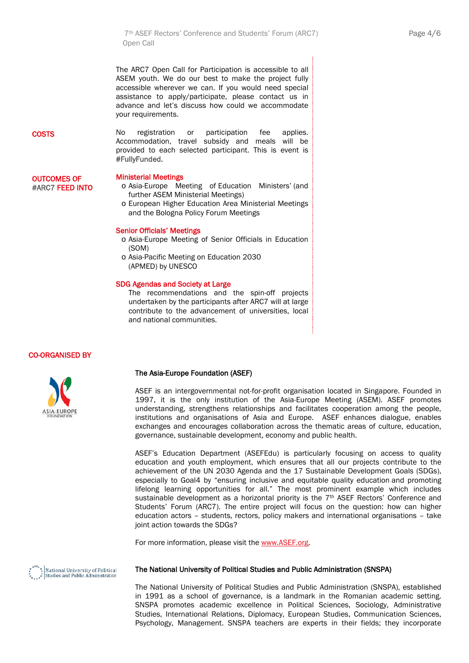7th ASEF Rectors' Conference and Students' Forum (ARC7) Page 4/6 Open Call

The ARC7 Open Call for Participation is accessible to all ASEM youth. We do our best to make the project fully accessible wherever we can. If you would need special assistance to apply/participate, please contact us in advance and let's discuss how could we accommodate your requirements.

No registration or participation fee applies. Accommodation, travel subsidy and meals will be provided to each selected participant. This is event is

#### **COSTS**

# OUTCOMES OF #ARC7 FEED INTO

#### Ministerial Meetings

#FullyFunded.

- o Asia-Europe Meeting of Education Ministers' (and further ASEM Ministerial Meetings)
- o European Higher Education Area Ministerial Meetings and the Bologna Policy Forum Meetings

#### Senior Officials' Meetings

- o Asia-Europe Meeting of Senior Officials in Education (SOM)
- o Asia-Pacific Meeting on Education 2030 (APMED) by UNESCO

#### SDG Agendas and Society at Large

The recommendations and the spin-off projects undertaken by the participants after ARC7 will at large contribute to the advancement of universities, local and national communities.

# CO-ORGANISED BY



#### The Asia-Europe Foundation (ASEF)

ASEF is an intergovernmental not-for-profit organisation located in Singapore. Founded in 1997, it is the only institution of the Asia-Europe Meeting (ASEM). ASEF promotes understanding, strengthens relationships and facilitates cooperation among the people, institutions and organisations of Asia and Europe. ASEF enhances dialogue, enables exchanges and encourages collaboration across the thematic areas of culture, education, governance, sustainable development, economy and public health.

ASEF's Education Department (ASEFEdu) is particularly focusing on access to quality education and youth employment, which ensures that all our projects contribute to the achievement of the UN 2030 Agenda and the 17 Sustainable Development Goals (SDGs), especially to Goal4 by "ensuring inclusive and equitable quality education and promoting lifelong learning opportunities for all." The most prominent example which includes sustainable development as a horizontal priority is the 7<sup>th</sup> ASEF Rectors' Conference and Students' Forum (ARC7). The entire project will focus on the question: how can higher education actors – students, rectors, policy makers and international organisations – take joint action towards the SDGs?

For more information, please visit th[e www.ASEF.org.](http://www.asef.org/)

|<br>|National University of Political<br>|Studies and Public Administration

# The National University of Political Studies and Public Administration (SNSPA)

The National University of Political Studies and Public Administration (SNSPA), established in 1991 as a school of governance, is a landmark in the Romanian academic setting. SNSPA promotes academic excellence in Political Sciences, Sociology, Administrative Studies, International Relations, Diplomacy, European Studies, Communication Sciences, Psychology, Management. SNSPA teachers are experts in their fields; they incorporate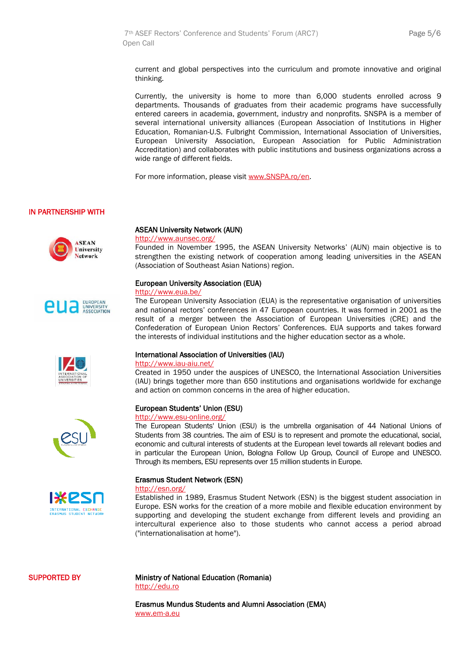current and global perspectives into the curriculum and promote innovative and original thinking.

Currently, the university is home to more than 6,000 students enrolled across 9 departments. Thousands of graduates from their academic programs have successfully entered careers in academia, government, industry and nonprofits. SNSPA is a member of several international university alliances (European Association of Institutions in Higher Education, Romanian-U.S. Fulbright Commission, International Association of Universities, European University Association, European Association for Public Administration Accreditation) and collaborates with public institutions and business organizations across a wide range of different fields.

For more information, please visi[t www.SNSPA.ro/en.](http://www.snspa.ro/en)

# IN PARTNERSHIP WITH











# ASEAN University Network (AUN)

#### <http://www.aunsec.org/>

Founded in November 1995, the ASEAN University Networks' (AUN) main objective is to strengthen the existing network of cooperation among leading universities in the ASEAN (Association of Southeast Asian Nations) region.

#### European University Association (EUA)

#### <http://www.eua.be/>

The European University Association (EUA) is the representative organisation of universities and national rectors' conferences in 47 European countries. It was formed in 2001 as the result of a merger between the Association of European Universities (CRE) and the Confederation of European Union Rectors' Conferences. EUA supports and takes forward the interests of individual institutions and the higher education sector as a whole.

#### International Association of Universities (IAU)

#### <http://www.iau-aiu.net/>

Created in 1950 under the auspices of UNESCO, the International Association Universities (IAU) brings together more than 650 institutions and organisations worldwide for exchange and action on common concerns in the area of higher education.

#### European Students' Union (ESU)

#### <http://www.esu-online.org/>

The European Students' Union (ESU) is the umbrella organisation of 44 National Unions of Students from 38 countries. The aim of ESU is to represent and promote the educational, social, economic and cultural interests of students at the European level towards all relevant bodies and in particular the European Union, Bologna Follow Up Group, Council of Europe and UNESCO. Through its members, ESU represents over 15 million students in Europe.

#### Erasmus Student Network (ESN)

#### <http://esn.org/>

Established in 1989, Erasmus Student Network (ESN) is the biggest student association in Europe. ESN works for the creation of a more mobile and flexible education environment by supporting and developing the student exchange from different levels and providing an intercultural experience also to those students who cannot access a period abroad ("internationalisation at home").

#### SUPPORTED BY

Ministry of National Education (Romania) [http://edu.ro](http://edu.ro/)

Erasmus Mundus Students and Alumni Association (EMA) [www.em-a.eu](http://www.em-a.eu/)